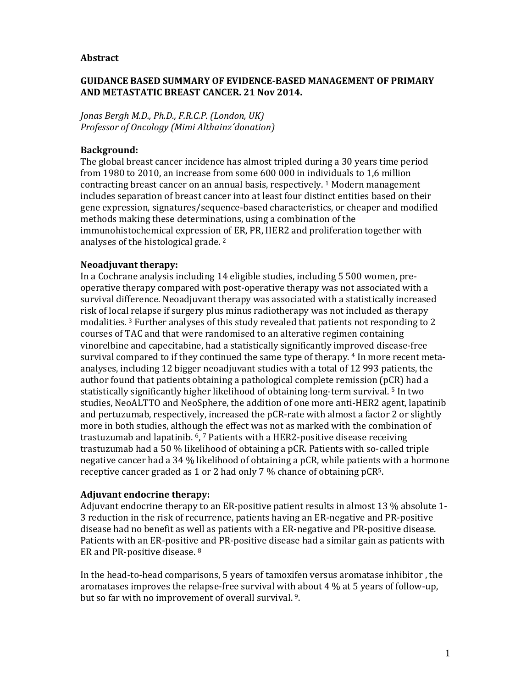#### **Abstract**

## **GUIDANCE BASED SUMMARY OF EVIDENCE-BASED MANAGEMENT OF PRIMARY AND METASTATIC BREAST CANCER. 21 Nov 2014.**

*Jonas Bergh M.D., Ph.D., F.R.C.P. (London, UK) Professor of Oncology (Mimi Althainz´donation)* 

## **Background:**

The global breast cancer incidence has almost tripled during a 30 years time period from 1980 to 2010, an increase from some 600 000 in individuals to 1,6 million contracting breast cancer on an annual basis, respectively. 1 Modern management includes separation of breast cancer into at least four distinct entities based on their gene expression, signatures/sequence-based characteristics, or cheaper and modified methods making these determinations, using a combination of the immunohistochemical expression of ER, PR, HER2 and proliferation together with analyses of the histological grade. <sup>2</sup>

### **Neoadjuvant therapy:**

In a Cochrane analysis including 14 eligible studies, including 5 500 women, preoperative therapy compared with post-operative therapy was not associated with a survival difference. Neoadjuvant therapy was associated with a statistically increased risk of local relapse if surgery plus minus radiotherapy was not included as therapy modalities. <sup>3</sup> Further analyses of this study revealed that patients not responding to 2 courses of TAC and that were randomised to an alterative regimen containing vinorelbine and capecitabine, had a statistically significantly improved disease-free survival compared to if they continued the same type of therapy. 4 In more recent metaanalyses, including 12 bigger neoadjuvant studies with a total of 12 993 patients, the author found that patients obtaining a pathological complete remission (pCR) had a statistically significantly higher likelihood of obtaining long-term survival. <sup>5</sup> In two studies, NeoALTTO and NeoSphere, the addition of one more anti-HER2 agent, lapatinib and pertuzumab, respectively, increased the pCR-rate with almost a factor 2 or slightly more in both studies, although the effect was not as marked with the combination of trastuzumab and lapatinib. 6, <sup>7</sup> Patients with a HER2-positive disease receiving trastuzumab had a 50 % likelihood of obtaining a pCR. Patients with so-called triple negative cancer had a 34 % likelihood of obtaining a pCR, while patients with a hormone receptive cancer graded as 1 or 2 had only 7 % chance of obtaining pCR5.

#### **Adjuvant endocrine therapy:**

Adjuvant endocrine therapy to an ER-positive patient results in almost 13 % absolute 1- 3 reduction in the risk of recurrence, patients having an ER-negative and PR-positive disease had no benefit as well as patients with a ER-negative and PR-positive disease. Patients with an ER-positive and PR-positive disease had a similar gain as patients with ER and PR-positive disease. <sup>8</sup>

In the head-to-head comparisons, 5 years of tamoxifen versus aromatase inhibitor , the aromatases improves the relapse-free survival with about 4 % at 5 years of follow-up, but so far with no improvement of overall survival. <sup>9</sup>.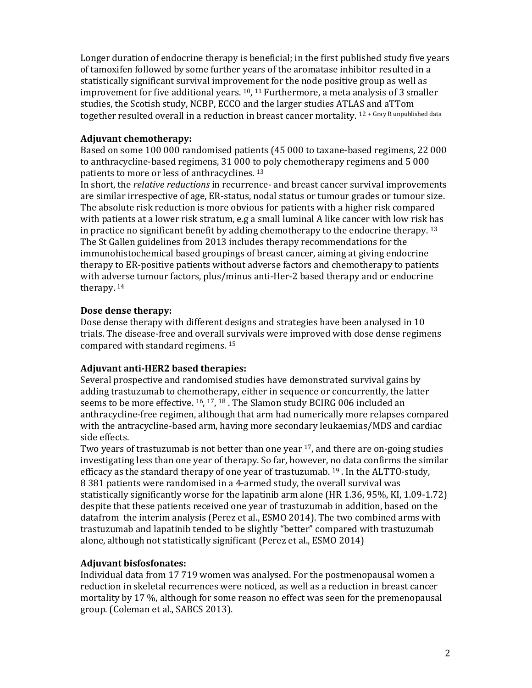Longer duration of endocrine therapy is beneficial; in the first published study five years of tamoxifen followed by some further years of the aromatase inhibitor resulted in a statistically significant survival improvement for the node positive group as well as improvement for five additional years. 10, <sup>11</sup> Furthermore, a meta analysis of 3 smaller studies, the Scotish study, NCBP, ECCO and the larger studies ATLAS and aTTom together resulted overall in a reduction in breast cancer mortality. 12 + Gray R unpublished data

## **Adjuvant chemotherapy:**

Based on some 100 000 randomised patients (45 000 to taxane-based regimens, 22 000 to anthracycline-based regimens, 31 000 to poly chemotherapy regimens and 5 000 patients to more or less of anthracyclines. <sup>13</sup>

In short, the *relative reductions* in recurrence- and breast cancer survival improvements are similar irrespective of age, ER-status, nodal status or tumour grades or tumour size. The absolute risk reduction is more obvious for patients with a higher risk compared with patients at a lower risk stratum, e.g a small luminal A like cancer with low risk has in practice no significant benefit by adding chemotherapy to the endocrine therapy.  $13$ The St Gallen guidelines from 2013 includes therapy recommendations for the immunohistochemical based groupings of breast cancer, aiming at giving endocrine therapy to ER-positive patients without adverse factors and chemotherapy to patients with adverse tumour factors, plus/minus anti-Her-2 based therapy and or endocrine therapy. <sup>14</sup>

### **Dose dense therapy:**

Dose dense therapy with different designs and strategies have been analysed in 10 trials. The disease-free and overall survivals were improved with dose dense regimens compared with standard regimens. <sup>15</sup>

#### **Adjuvant anti-HER2 based therapies:**

Several prospective and randomised studies have demonstrated survival gains by adding trastuzumab to chemotherapy, either in sequence or concurrently, the latter seems to be more effective. 16, <sup>17</sup>, <sup>18</sup> . The Slamon study BCIRG 006 included an anthracycline-free regimen, although that arm had numerically more relapses compared with the antracycline-based arm, having more secondary leukaemias/MDS and cardiac side effects.

Two years of trastuzumab is not better than one year <sup>17</sup>, and there are on-going studies investigating less than one year of therapy. So far, however, no data confirms the similar efficacy as the standard therapy of one year of trastuzumab.  $^{19}$  . In the ALTTO-study, 8 381 patients were randomised in a 4-armed study, the overall survival was statistically significantly worse for the lapatinib arm alone (HR 1.36, 95%, KI, 1.09-1.72) despite that these patients received one year of trastuzumab in addition, based on the datafrom the interim analysis (Perez et al., ESMO 2014). The two combined arms with trastuzumab and lapatinib tended to be slightly "better" compared with trastuzumab alone, although not statistically significant (Perez et al., ESMO 2014)

### **Adjuvant bisfosfonates:**

Individual data from 17 719 women was analysed. For the postmenopausal women a reduction in skeletal recurrences were noticed, as well as a reduction in breast cancer mortality by 17 %, although for some reason no effect was seen for the premenopausal group. (Coleman et al., SABCS 2013).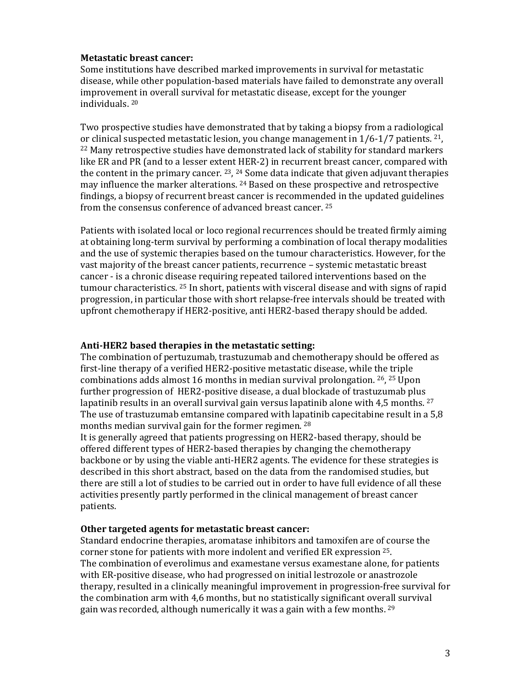### **Metastatic breast cancer:**

Some institutions have described marked improvements in survival for metastatic disease, while other population-based materials have failed to demonstrate any overall improvement in overall survival for metastatic disease, except for the younger individuals. <sup>20</sup>

Two prospective studies have demonstrated that by taking a biopsy from a radiological or clinical suspected metastatic lesion, you change management in 1/6-1/7 patients. 21, <sup>22</sup> Many retrospective studies have demonstrated lack of stability for standard markers like ER and PR (and to a lesser extent HER-2) in recurrent breast cancer, compared with the content in the primary cancer. <sup>23</sup>, <sup>24</sup> Some data indicate that given adjuvant therapies may influence the marker alterations. 24 Based on these prospective and retrospective findings, a biopsy of recurrent breast cancer is recommended in the updated guidelines from the consensus conference of advanced breast cancer. <sup>25</sup>

Patients with isolated local or loco regional recurrences should be treated firmly aiming at obtaining long-term survival by performing a combination of local therapy modalities and the use of systemic therapies based on the tumour characteristics. However, for the vast majority of the breast cancer patients, recurrence – systemic metastatic breast cancer - is a chronic disease requiring repeated tailored interventions based on the tumour characteristics. <sup>25</sup> In short, patients with visceral disease and with signs of rapid progression, in particular those with short relapse-free intervals should be treated with upfront chemotherapy if HER2-positive, anti HER2-based therapy should be added.

#### **Anti-HER2 based therapies in the metastatic setting:**

The combination of pertuzumab, trastuzumab and chemotherapy should be offered as first-line therapy of a verified HER2-positive metastatic disease, while the triple combinations adds almost 16 months in median survival prolongation. <sup>26</sup>, <sup>25</sup> Upon further progression of HER2-positive disease, a dual blockade of trastuzumab plus lapatinib results in an overall survival gain versus lapatinib alone with 4,5 months. <sup>27</sup> The use of trastuzumab emtansine compared with lapatinib capecitabine result in a 5,8 months median survival gain for the former regimen. <sup>28</sup>

It is generally agreed that patients progressing on HER2-based therapy, should be offered different types of HER2-based therapies by changing the chemotherapy backbone or by using the viable anti-HER2 agents. The evidence for these strategies is described in this short abstract, based on the data from the randomised studies, but there are still a lot of studies to be carried out in order to have full evidence of all these activities presently partly performed in the clinical management of breast cancer patients.

#### **Other targeted agents for metastatic breast cancer:**

Standard endocrine therapies, aromatase inhibitors and tamoxifen are of course the corner stone for patients with more indolent and verified ER expression 25. The combination of everolimus and examestane versus examestane alone, for patients with ER-positive disease, who had progressed on initial lestrozole or anastrozole therapy, resulted in a clinically meaningful improvement in progression-free survival for the combination arm with 4,6 months, but no statistically significant overall survival gain was recorded, although numerically it was a gain with a few months. 29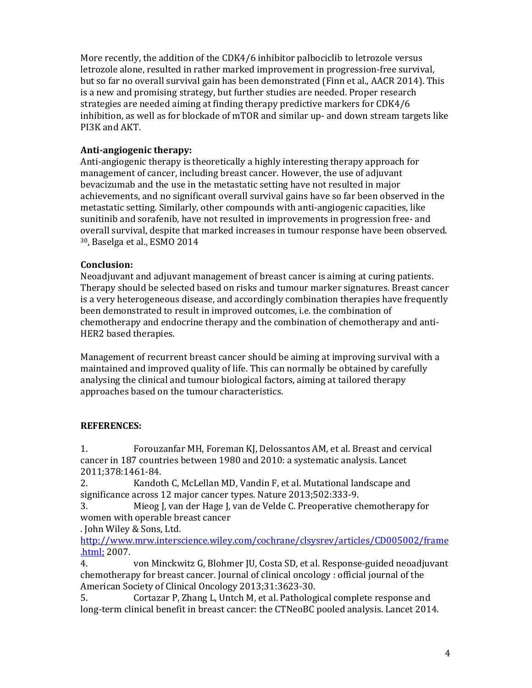More recently, the addition of the CDK4/6 inhibitor palbociclib to letrozole versus letrozole alone, resulted in rather marked improvement in progression-free survival, but so far no overall survival gain has been demonstrated (Finn et al., AACR 2014). This is a new and promising strategy, but further studies are needed. Proper research strategies are needed aiming at finding therapy predictive markers for CDK4/6 inhibition, as well as for blockade of mTOR and similar up- and down stream targets like PI3K and AKT.

# **Anti-angiogenic therapy:**

Anti-angiogenic therapy is theoretically a highly interesting therapy approach for management of cancer, including breast cancer. However, the use of adjuvant bevacizumab and the use in the metastatic setting have not resulted in major achievements, and no significant overall survival gains have so far been observed in the metastatic setting. Similarly, other compounds with anti-angiogenic capacities, like sunitinib and sorafenib, have not resulted in improvements in progression free- and overall survival, despite that marked increases in tumour response have been observed. <sup>30</sup>, Baselga et al., ESMO 2014

# **Conclusion:**

Neoadjuvant and adjuvant management of breast cancer is aiming at curing patients. Therapy should be selected based on risks and tumour marker signatures. Breast cancer is a very heterogeneous disease, and accordingly combination therapies have frequently been demonstrated to result in improved outcomes, i.e. the combination of chemotherapy and endocrine therapy and the combination of chemotherapy and anti-HER2 based therapies.

Management of recurrent breast cancer should be aiming at improving survival with a maintained and improved quality of life. This can normally be obtained by carefully analysing the clinical and tumour biological factors, aiming at tailored therapy approaches based on the tumour characteristics.

# **REFERENCES:**

1. Forouzanfar MH, Foreman KJ, Delossantos AM, et al. Breast and cervical cancer in 187 countries between 1980 and 2010: a systematic analysis. Lancet 2011;378:1461-84.

2. Kandoth C, McLellan MD, Vandin F, et al. Mutational landscape and significance across 12 major cancer types. Nature 2013;502:333-9.

3. Mieog J, van der Hage J, van de Velde C. Preoperative chemotherapy for women with operable breast cancer

. John Wiley & Sons, Ltd.

http://www.mrw.interscience.wiley.com/cochrane/clsysrev/articles/CD005002/frame .html; 2007.

4. von Minckwitz G, Blohmer JU, Costa SD, et al. Response-guided neoadjuvant chemotherapy for breast cancer. Journal of clinical oncology : official journal of the American Society of Clinical Oncology 2013;31:3623-30.

5. Cortazar P, Zhang L, Untch M, et al. Pathological complete response and long-term clinical benefit in breast cancer: the CTNeoBC pooled analysis. Lancet 2014.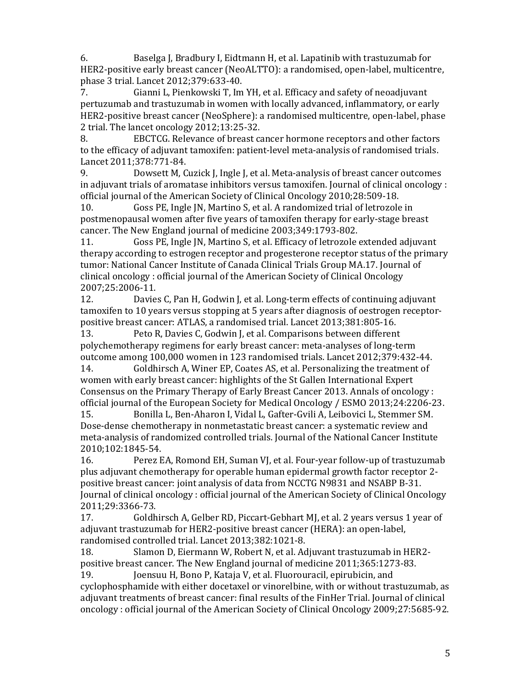6. Baselga J, Bradbury I, Eidtmann H, et al. Lapatinib with trastuzumab for HER2-positive early breast cancer (NeoALTTO): a randomised, open-label, multicentre, phase 3 trial. Lancet 2012;379:633-40.

7. Gianni L, Pienkowski T, Im YH, et al. Efficacy and safety of neoadjuvant pertuzumab and trastuzumab in women with locally advanced, inflammatory, or early HER2-positive breast cancer (NeoSphere): a randomised multicentre, open-label, phase 2 trial. The lancet oncology 2012;13:25-32.

8. EBCTCG. Relevance of breast cancer hormone receptors and other factors to the efficacy of adjuvant tamoxifen: patient-level meta-analysis of randomised trials. Lancet 2011;378:771-84.

9. Dowsett M, Cuzick J, Ingle J, et al. Meta-analysis of breast cancer outcomes in adjuvant trials of aromatase inhibitors versus tamoxifen. Journal of clinical oncology : official journal of the American Society of Clinical Oncology 2010;28:509-18.

10. Goss PE, Ingle JN, Martino S, et al. A randomized trial of letrozole in postmenopausal women after five years of tamoxifen therapy for early-stage breast cancer. The New England journal of medicine 2003;349:1793-802.

11. Goss PE, Ingle JN, Martino S, et al. Efficacy of letrozole extended adjuvant therapy according to estrogen receptor and progesterone receptor status of the primary tumor: National Cancer Institute of Canada Clinical Trials Group MA.17. Journal of clinical oncology : official journal of the American Society of Clinical Oncology 2007;25:2006-11.

12. Davies C, Pan H, Godwin J, et al. Long-term effects of continuing adjuvant tamoxifen to 10 years versus stopping at 5 years after diagnosis of oestrogen receptorpositive breast cancer: ATLAS, a randomised trial. Lancet 2013;381:805-16.

13. Peto R, Davies C, Godwin J, et al. Comparisons between different polychemotherapy regimens for early breast cancer: meta-analyses of long-term outcome among 100,000 women in 123 randomised trials. Lancet 2012;379:432-44.

14. Goldhirsch A, Winer EP, Coates AS, et al. Personalizing the treatment of women with early breast cancer: highlights of the St Gallen International Expert Consensus on the Primary Therapy of Early Breast Cancer 2013. Annals of oncology : official journal of the European Society for Medical Oncology / ESMO 2013;24:2206-23.

15. Bonilla L, Ben-Aharon I, Vidal L, Gafter-Gvili A, Leibovici L, Stemmer SM. Dose-dense chemotherapy in nonmetastatic breast cancer: a systematic review and meta-analysis of randomized controlled trials. Journal of the National Cancer Institute 2010;102:1845-54.

16. Perez EA, Romond EH, Suman VJ, et al. Four-year follow-up of trastuzumab plus adjuvant chemotherapy for operable human epidermal growth factor receptor 2 positive breast cancer: joint analysis of data from NCCTG N9831 and NSABP B-31. Journal of clinical oncology : official journal of the American Society of Clinical Oncology 2011;29:3366-73.

17. Goldhirsch A, Gelber RD, Piccart-Gebhart MJ, et al. 2 years versus 1 year of adjuvant trastuzumab for HER2-positive breast cancer (HERA): an open-label, randomised controlled trial. Lancet 2013;382:1021-8.

18. Slamon D, Eiermann W, Robert N, et al. Adjuvant trastuzumab in HER2 positive breast cancer. The New England journal of medicine 2011;365:1273-83.

19. Joensuu H, Bono P, Kataja V, et al. Fluorouracil, epirubicin, and cyclophosphamide with either docetaxel or vinorelbine, with or without trastuzumab, as adjuvant treatments of breast cancer: final results of the FinHer Trial. Journal of clinical oncology : official journal of the American Society of Clinical Oncology 2009;27:5685-92.